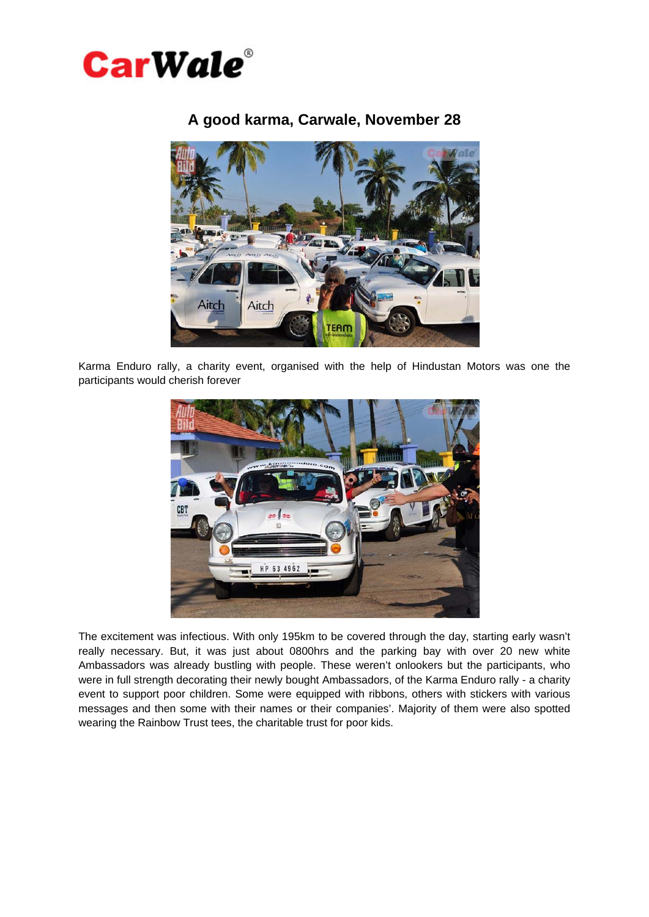

## **A good karma, Carwale, November 28**



Karma Enduro rally, a charity event, organised with the help of Hindustan Motors was one the participants would cherish forever



The excitement was infectious. With only 195km to be covered through the day, starting early wasn't really necessary. But, it was just about 0800hrs and the parking bay with over 20 new white Ambassadors was already bustling with people. These weren't onlookers but the participants, who were in full strength decorating their newly bought Ambassadors, of the Karma Enduro rally - a charity event to support poor children. Some were equipped with ribbons, others with stickers with various messages and then some with their names or their companies'. Majority of them were also spotted wearing the Rainbow Trust tees, the charitable trust for poor kids.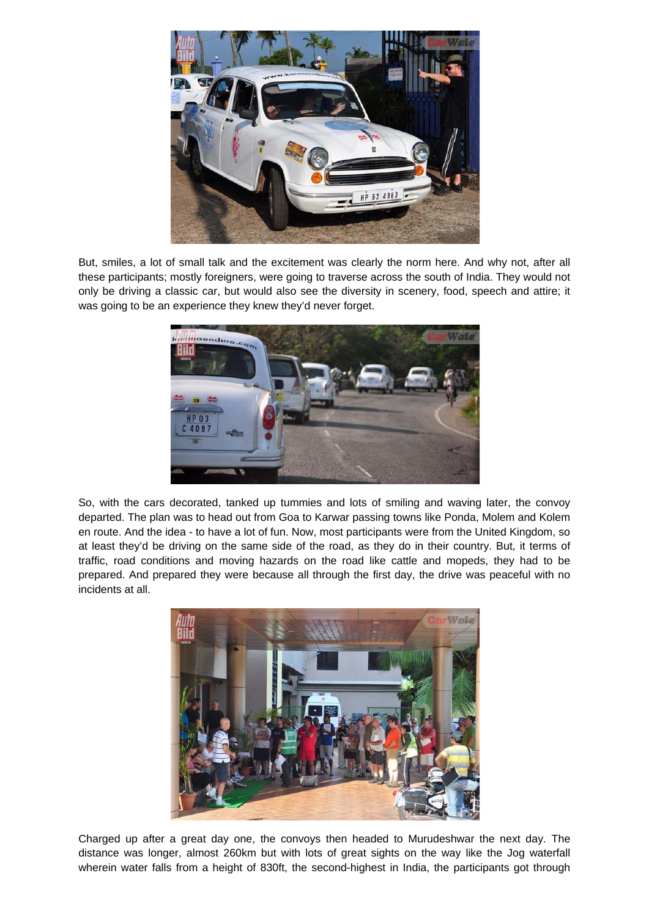

But, smiles, a lot of small talk and the excitement was clearly the norm here. And why not, after all these participants; mostly foreigners, were going to traverse across the south of India. They would not only be driving a classic car, but would also see the diversity in scenery, food, speech and attire; it was going to be an experience they knew they'd never forget.



So, with the cars decorated, tanked up tummies and lots of smiling and waving later, the convoy departed. The plan was to head out from Goa to Karwar passing towns like Ponda, Molem and Kolem en route. And the idea - to have a lot of fun. Now, most participants were from the United Kingdom, so at least they'd be driving on the same side of the road, as they do in their country. But, it terms of traffic, road conditions and moving hazards on the road like cattle and mopeds, they had to be prepared. And prepared they were because all through the first day, the drive was peaceful with no incidents at all.



Charged up after a great day one, the convoys then headed to Murudeshwar the next day. The distance was longer, almost 260km but with lots of great sights on the way like the Jog waterfall wherein water falls from a height of 830ft, the second-highest in India, the participants got through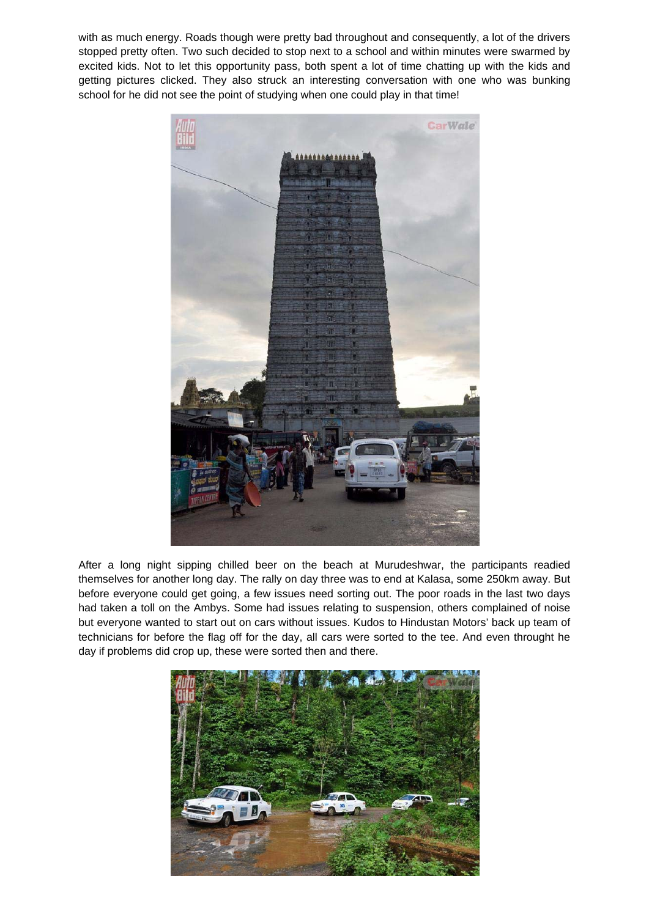with as much energy. Roads though were pretty bad throughout and consequently, a lot of the drivers stopped pretty often. Two such decided to stop next to a school and within minutes were swarmed by excited kids. Not to let this opportunity pass, both spent a lot of time chatting up with the kids and getting pictures clicked. They also struck an interesting conversation with one who was bunking school for he did not see the point of studying when one could play in that time!



After a long night sipping chilled beer on the beach at Murudeshwar, the participants readied themselves for another long day. The rally on day three was to end at Kalasa, some 250km away. But before everyone could get going, a few issues need sorting out. The poor roads in the last two days had taken a toll on the Ambys. Some had issues relating to suspension, others complained of noise but everyone wanted to start out on cars without issues. Kudos to Hindustan Motors' back up team of technicians for before the flag off for the day, all cars were sorted to the tee. And even throught he day if problems did crop up, these were sorted then and there.